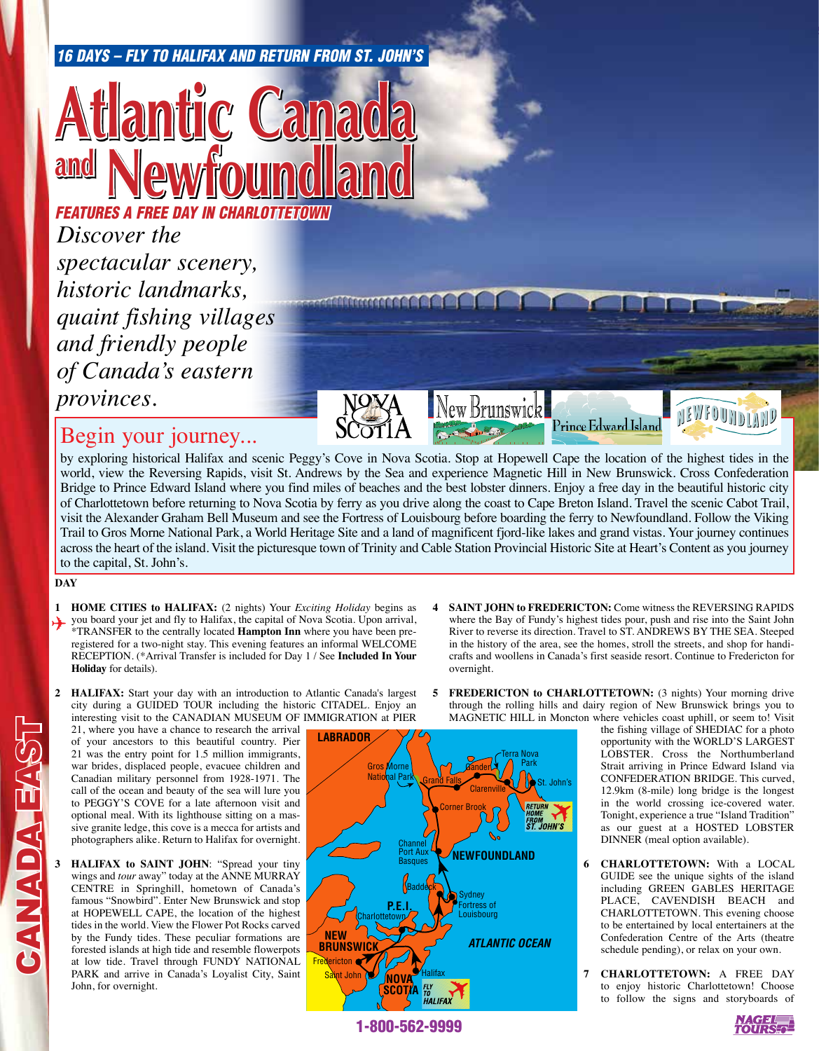#### *16 Days – Fly to Halifax and return from St. John's*

## **Hantic Ca and Newfoundland**

*Discover the spectacular scenery, historic landmarks, quaint fishing villages and friendly people of Canada's eastern provinces. FEATURES A FREE DAY IN CHARLOTTETOWN*

### Begin your journey...

by exploring historical Halifax and scenic Peggy's Cove in Nova Scotia. Stop at Hopewell Cape the location of the highest tides in the world, view the Reversing Rapids, visit St. Andrews by the Sea and experience Magnetic Hill in New Brunswick. Cross Confederation Bridge to Prince Edward Island where you find miles of beaches and the best lobster dinners. Enjoy a free day in the beautiful historic city of Charlottetown before returning to Nova Scotia by ferry as you drive along the coast to Cape Breton Island. Travel the scenic Cabot Trail, visit the Alexander Graham Bell Museum and see the Fortress of Louisbourg before boarding the ferry to Newfoundland. Follow the Viking Trail to Gros Morne National Park, a World Heritage Site and a land of magnificent fjord-like lakes and grand vistas. Your journey continues across the heart of the island. Visit the picturesque town of Trinity and Cable Station Provincial Historic Site at Heart's Content as you journey to the capital, St. John's.

New Brunswickl

**CONTRACTOR** 

#### **DAY**

CANADA EAST

**VELVOVING** 

- **1 HOME CITIES to HALIFAX:** (2 nights) Your *Exciting Holiday* begins as you board your jet and fly to Halifax, the capital of Nova Scotia. Upon arrival,  $*$ TRANSEER to the centrally located **Hampton Inp** where you have been pre \*TRANSFER to the centrally located **Hampton Inn** where you have been preregistered for a two-night stay. This evening features an informal WELCOME RECEPTION. (\*Arrival Transfer is included for Day 1 / See **Included In Your Holiday** for details).
- **2 HALIFAX:** Start your day with an introduction to Atlantic Canada's largest city during a GUIDED TOUR including the historic CITADEL. Enjoy an interesting visit to the CANADIAN MUSEUM OF IMMIGRATION at PIER

21, where you have a chance to research the arrival of your ancestors to this beautiful country. Pier 21 was the entry point for 1.5 million immigrants, war brides, displaced people, evacuee children and Canadian military personnel from 1928-1971. The call of the ocean and beauty of the sea will lure you to PEGGY'S COVE for a late afternoon visit and optional meal. With its lighthouse sitting on a massive granite ledge, this cove is a mecca for artists and photographers alike. Return to Halifax for overnight.

- **3 HALIFAX to SAINT JOHN**: "Spread your tiny wings and *tour* away" today at the ANNE MURRAY CENTRE in Springhill, hometown of Canada's famous "Snowbird". Enter New Brunswick and stop at HOPEWELL CAPE, the location of the highest tides in the world. View the Flower Pot Rocks carved by the Fundy tides. These peculiar formations are forested islands at high tide and resemble flowerpots at low tide. Travel through FUNDY NATIONAL PARK and arrive in Canada's Loyalist City, Saint John, for overnight.
- Corner Brook LABRADO**R NEW BRUNSWIC NEWFOUNDLAND** *ATLANTIC OCEAN*  **NOVA SCOTIA P.E.I. Clarenville** Terra Nova  $\bigwedge$  Park St. John's *G***ander** Grand Fal<u>ls</u> Baddeck Sydney **Charlottetown** Saint John Mount Halifax **Fredericton** Gros Morne National Park Fortress of Louisbourg Channel Port Aux **Basques**
- **4 SAINT JOHN to FREDERICTON:** Come witness the REVERSING RAPIDS where the Bay of Fundy's highest tides pour, push and rise into the Saint John River to reverse its direction. Travel to ST. ANDREWS BY THE SEA. Steeped in the history of the area, see the homes, stroll the streets, and shop for handicrafts and woollens in Canada's first seaside resort. Continue to Fredericton for overnight.

Prince Edward Island

**5 FREDERICTON to CHARLOTTETOWN:** (3 nights) Your morning drive through the rolling hills and dairy region of New Brunswick brings you to MAGNETIC HILL in Moncton where vehicles coast uphill, or seem to! Visit

the fishing village of SHEDIAC for a photo opportunity with the WORLD'S LARGEST LOBSTER. Cross the Northumberland Strait arriving in Prince Edward Island via CONFEDERATION BRIDGE. This curved, 12.9km (8-mile) long bridge is the longest in the world crossing ice-covered water. Tonight, experience a true "Island Tradition" as our guest at a HOSTED LOBSTER DINNER (meal option available).

NEWFOUNDIAND

- **6 CHARLOTTETOWN:** With a LOCAL GUIDE see the unique sights of the island including GREEN GABLES HERITAGE PLACE, CAVENDISH BEACH and CHARLOTTETOWN. This evening choose to be entertained by local entertainers at the Confederation Centre of the Arts (theatre schedule pending), or relax on your own.
- **7 CHARLOTTETOWN:** A FREE DAY to enjoy historic Charlottetown! Choose to follow the signs and storyboards of